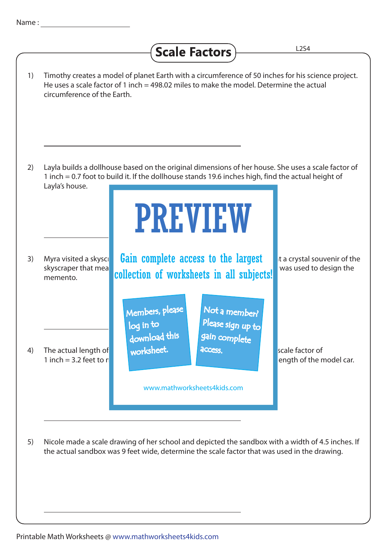## Scale Factors L2S4

| 1) | Timothy creates a model of planet Earth with a circumference of 50 inches for his science project.<br>He uses a scale factor of 1 inch = 498.02 miles to make the model. Determine the actual<br>circumference of the Earth.                                   |  |
|----|----------------------------------------------------------------------------------------------------------------------------------------------------------------------------------------------------------------------------------------------------------------|--|
| 2) | Layla builds a dollhouse based on the original dimensions of her house. She uses a scale factor of<br>1 inch = 0.7 foot to build it. If the dollhouse stands 19.6 inches high, find the actual height of<br>Layla's house.<br><b>PREVIEW</b>                   |  |
| 3) | Gain complete access to the largest<br>Myra visited a skysci<br>it a crystal souvenir of the<br>skyscraper that mea<br>was used to design the<br>collection of worksheets in all subjects!<br>memento.                                                         |  |
| 4) | Members, please<br>Not a member?<br>Please sign up to<br>log in to<br>gain complete<br>download this<br>worksheet.<br>The actual length of<br>access.<br>scale factor of<br>1 inch = 3.2 feet to $r$<br>ength of the model car.<br>www.mathworksheets4kids.com |  |
| 5) | Nicole made a scale drawing of her school and depicted the sandbox with a width of 4.5 inches. If<br>the actual sandbox was 9 feet wide, determine the scale factor that was used in the drawing.                                                              |  |